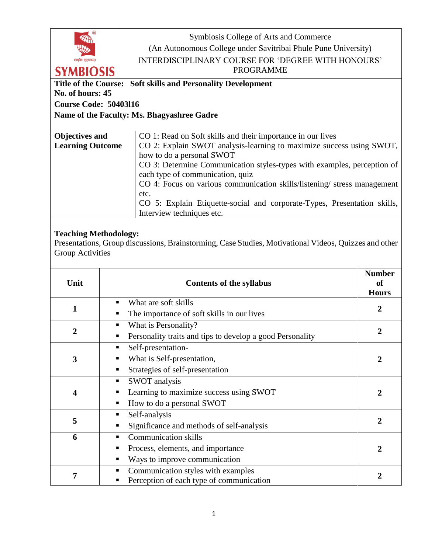|                                                              | Symbiosis College of Arts and Commerce                                   |  |  |  |
|--------------------------------------------------------------|--------------------------------------------------------------------------|--|--|--|
|                                                              | (An Autonomous College under Savitribai Phule Pune University)           |  |  |  |
| ॥वस्धिव कुट्म्बकम्॥                                          | <b>INTERDISCIPLINARY COURSE FOR 'DEGREE WITH HONOURS'</b>                |  |  |  |
| <b>SYMBIOSIS</b>                                             | <b>PROGRAMME</b>                                                         |  |  |  |
| Title of the Course: Soft skills and Personality Development |                                                                          |  |  |  |
| No. of hours: 45                                             |                                                                          |  |  |  |
| <b>Course Code: 50403116</b>                                 |                                                                          |  |  |  |
|                                                              | Name of the Faculty: Ms. Bhagyashree Gadre                               |  |  |  |
|                                                              |                                                                          |  |  |  |
| <b>Objectives and</b>                                        | CO 1: Read on Soft skills and their importance in our lives              |  |  |  |
| <b>Learning Outcome</b>                                      | CO 2: Explain SWOT analysis-learning to maximize success using SWOT,     |  |  |  |
|                                                              | how to do a personal SWOT                                                |  |  |  |
|                                                              | CO 3: Determine Communication styles-types with examples, perception of  |  |  |  |
|                                                              | each type of communication, quiz                                         |  |  |  |
|                                                              | CO 4: Focus on various communication skills/listening/ stress management |  |  |  |
|                                                              | etc.                                                                     |  |  |  |
|                                                              | CO 5: Explain Etiquette-social and corporate-Types, Presentation skills, |  |  |  |

## **Teaching Methodology:**

Presentations, Group discussions, Brainstorming, Case Studies, Motivational Videos, Quizzes and other Group Activities

Interview techniques etc.

| Unit           | <b>Contents of the syllabus</b>                                                                                  | <b>Number</b><br><b>of</b><br><b>Hours</b> |
|----------------|------------------------------------------------------------------------------------------------------------------|--------------------------------------------|
| 1              | What are soft skills<br>٠<br>The importance of soft skills in our lives<br>п                                     | $\boldsymbol{2}$                           |
| $\overline{2}$ | What is Personality?<br>٠<br>Personality traits and tips to develop a good Personality<br>▪                      | $\overline{2}$                             |
| 3              | Self-presentation-<br>٠<br>What is Self-presentation,<br>Strategies of self-presentation<br>▪                    | 2                                          |
| 4              | <b>SWOT</b> analysis<br>п<br>Learning to maximize success using SWOT<br>How to do a personal SWOT<br>п           | 2                                          |
| 5              | Self-analysis<br>٠<br>Significance and methods of self-analysis                                                  | 2                                          |
| 6              | <b>Communication skills</b><br>٠<br>Process, elements, and importance<br>■<br>Ways to improve communication<br>п | 2                                          |
| 7              | Communication styles with examples<br>п<br>Perception of each type of communication                              | 2                                          |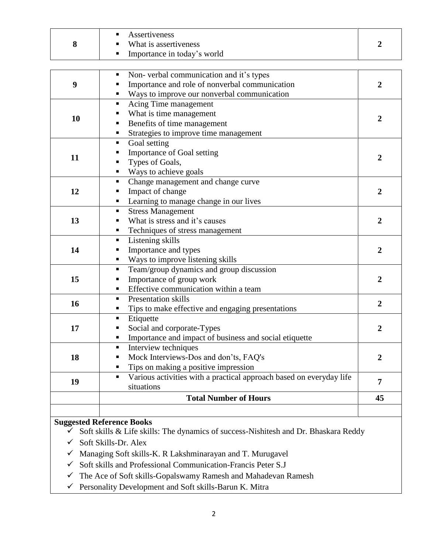|  | Assertiveness<br>• What is assertiveness<br>Importance in today's world |  |
|--|-------------------------------------------------------------------------|--|
|--|-------------------------------------------------------------------------|--|

| Tips to make effective and engaging presentations<br>п<br>Etiquette<br>п<br>Social and corporate-Types<br>٠<br>Importance and impact of business and social etiquette<br>٠<br>Interview techniques<br>$\blacksquare$<br>Mock Interviews-Dos and don'ts, FAQ's<br>٠<br>Tips on making a positive impression<br>п<br>Various activities with a practical approach based on everyday life<br>$\blacksquare$<br>situations | $\overline{2}$<br>$\overline{2}$<br>$\overline{7}$                              |
|------------------------------------------------------------------------------------------------------------------------------------------------------------------------------------------------------------------------------------------------------------------------------------------------------------------------------------------------------------------------------------------------------------------------|---------------------------------------------------------------------------------|
|                                                                                                                                                                                                                                                                                                                                                                                                                        |                                                                                 |
|                                                                                                                                                                                                                                                                                                                                                                                                                        |                                                                                 |
|                                                                                                                                                                                                                                                                                                                                                                                                                        |                                                                                 |
| ٠                                                                                                                                                                                                                                                                                                                                                                                                                      | $\overline{2}$                                                                  |
| ٠<br>Importance of group work<br>٠<br>Effective communication within a team<br>$\blacksquare$                                                                                                                                                                                                                                                                                                                          | $\overline{2}$                                                                  |
| Listening skills<br>п<br>Importance and types<br>٠<br>Ways to improve listening skills                                                                                                                                                                                                                                                                                                                                 | $\overline{2}$                                                                  |
| <b>Stress Management</b><br>$\blacksquare$<br>What is stress and it's causes<br>$\blacksquare$<br>Techniques of stress management<br>٠                                                                                                                                                                                                                                                                                 | $\overline{2}$                                                                  |
| Change management and change curve<br>Impact of change<br>٠<br>Learning to manage change in our lives<br>$\blacksquare$                                                                                                                                                                                                                                                                                                | $\overline{2}$                                                                  |
| п<br>Importance of Goal setting<br>п<br>Types of Goals,<br>Ways to achieve goals<br>٠                                                                                                                                                                                                                                                                                                                                  | $\overline{2}$                                                                  |
| Acing Time management<br>п<br>What is time management<br>п<br>Benefits of time management<br>٠<br>Strategies to improve time management<br>п                                                                                                                                                                                                                                                                           | $\overline{2}$                                                                  |
| Non-verbal communication and it's types<br>٠<br>Importance and role of nonverbal communication<br>Ways to improve our nonverbal communication                                                                                                                                                                                                                                                                          | $\overline{2}$                                                                  |
|                                                                                                                                                                                                                                                                                                                                                                                                                        | Goal setting<br>Team/group dynamics and group discussion<br>Presentation skills |

## **Suggested Reference Books**

- $\checkmark$  Soft skills & Life skills: The dynamics of success-Nishitesh and Dr. Bhaskara Reddy
- Soft Skills-Dr. Alex
- $\checkmark$  Managing Soft skills-K. R Lakshminarayan and T. Murugavel
- $\checkmark$  Soft skills and Professional Communication-Francis Peter S.J
- $\checkmark$  The Ace of Soft skills-Gopalswamy Ramesh and Mahadevan Ramesh
- $\checkmark$  Personality Development and Soft skills-Barun K. Mitra